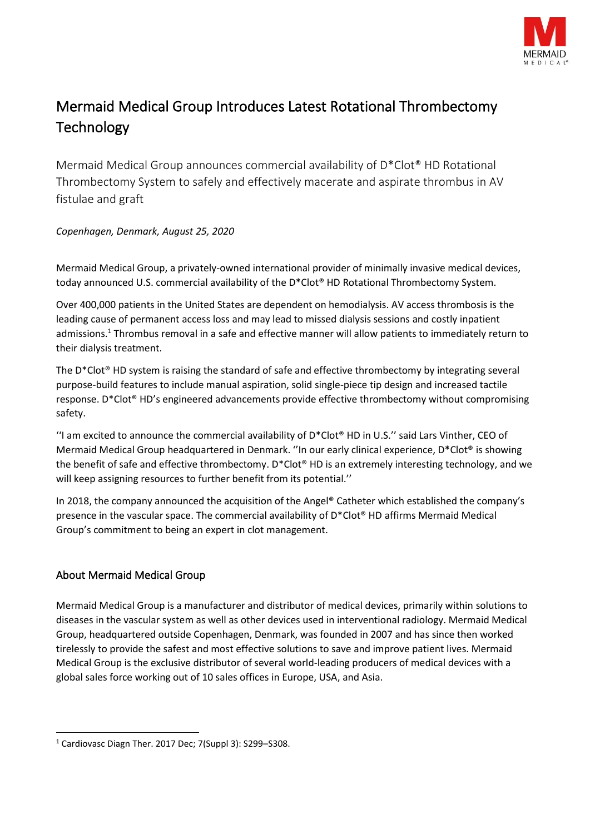

## Mermaid Medical Group Introduces Latest Rotational Thrombectomy **Technology**

Mermaid Medical Group announces commercial availability of D\*Clot® HD Rotational Thrombectomy System to safely and effectively macerate and aspirate thrombus in AV fistulae and graft

*Copenhagen, Denmark, August 25, 2020*

Mermaid Medical Group, a privately-owned international provider of minimally invasive medical devices, today announced U.S. commercial availability of the D\*Clot® HD Rotational Thrombectomy System.

Over 400,000 patients in the United States are dependent on hemodialysis. AV access thrombosis is the leading cause of permanent access loss and may lead to missed dialysis sessions and costly inpatient admissions.<sup>1</sup> Thrombus removal in a safe and effective manner will allow patients to immediately return to their dialysis treatment.

The D\*Clot® HD system is raising the standard of safe and effective thrombectomy by integrating several purpose-build features to include manual aspiration, solid single-piece tip design and increased tactile response. D\*Clot® HD's engineered advancements provide effective thrombectomy without compromising safety.

"I am excited to announce the commercial availability of  $D^*C$ lot® HD in U.S." said Lars Vinther, CEO of Mermaid Medical Group headquartered in Denmark. ''In our early clinical experience, D\*Clot® is showing the benefit of safe and effective thrombectomy. D\*Clot® HD is an extremely interesting technology, and we will keep assigning resources to further benefit from its potential.''

In 2018, the company announced the acquisition of the Angel® Catheter which established the company's presence in the vascular space. The commercial availability of D\*Clot® HD affirms Mermaid Medical Group's commitment to being an expert in clot management.

## About Mermaid Medical Group

Mermaid Medical Group is a manufacturer and distributor of medical devices, primarily within solutions to diseases in the vascular system as well as other devices used in interventional radiology. Mermaid Medical Group, headquartered outside Copenhagen, Denmark, was founded in 2007 and has since then worked tirelessly to provide the safest and most effective solutions to save and improve patient lives. Mermaid Medical Group is the exclusive distributor of several world-leading producers of medical devices with a global sales force working out of 10 sales offices in Europe, USA, and Asia.

<sup>1</sup> Cardiovasc Diagn Ther. 2017 Dec; 7(Suppl 3): S299–S308.